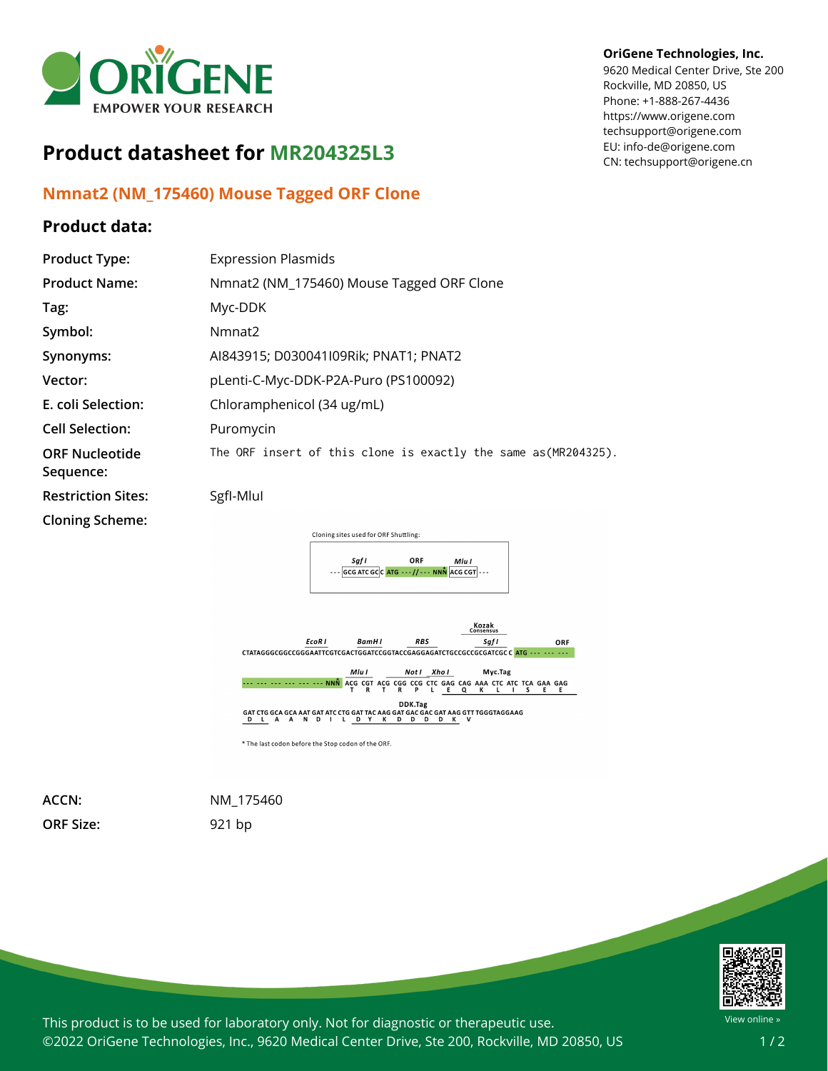

## **Product datasheet for MR204325L3**

## **Nmnat2 (NM\_175460) Mouse Tagged ORF Clone**

## **Product data:**

## **OriGene Technologies, Inc.**

9620 Medical Center Drive, Ste 200 Rockville, MD 20850, US Phone: +1-888-267-4436 https://www.origene.com techsupport@origene.com EU: info-de@origene.com CN: techsupport@origene.cn

| <b>Product Type:</b>               | <b>Expression Plasmids</b>                                              |
|------------------------------------|-------------------------------------------------------------------------|
| <b>Product Name:</b>               | Nmnat2 (NM_175460) Mouse Tagged ORF Clone                               |
| Tag:                               | Myc-DDK                                                                 |
| Symbol:                            | Nmnat <sub>2</sub>                                                      |
| Synonyms:                          | AI843915; D030041I09Rik; PNAT1; PNAT2                                   |
| Vector:                            | pLenti-C-Myc-DDK-P2A-Puro (PS100092)                                    |
| E. coli Selection:                 | Chloramphenicol (34 ug/mL)                                              |
| <b>Cell Selection:</b>             | Puromycin                                                               |
| <b>ORF Nucleotide</b><br>Sequence: | The ORF insert of this clone is exactly the same as (MR204325).         |
| <b>Restriction Sites:</b>          | SgfI-Mlul                                                               |
| <b>Cloning Scheme:</b>             |                                                                         |
|                                    | Cloning sites used for ORF Shuttling:                                   |
|                                    | ORF<br>Saf I<br>Mlu I<br>--- GCG ATC GCC ATG --- // --- NNN ACG CGT --- |



**ORF Size:** 921 bp

**ACCN:** NM\_175460



This product is to be used for laboratory only. Not for diagnostic or therapeutic use. ©2022 OriGene Technologies, Inc., 9620 Medical Center Drive, Ste 200, Rockville, MD 20850, US